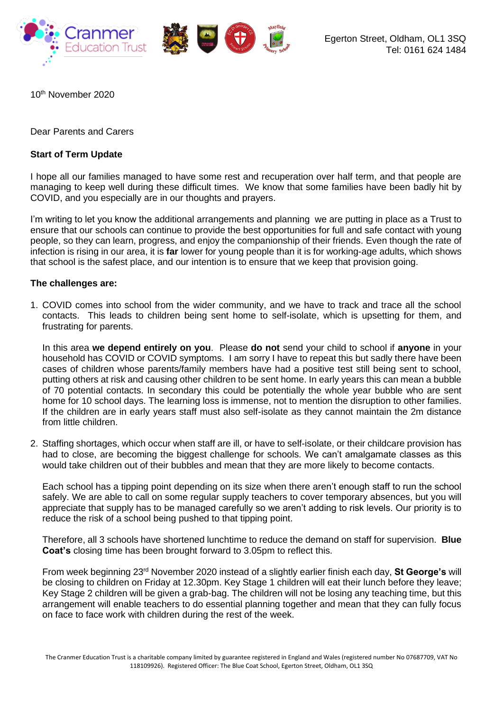

10th November 2020

Dear Parents and Carers

## **Start of Term Update**

I hope all our families managed to have some rest and recuperation over half term, and that people are managing to keep well during these difficult times. We know that some families have been badly hit by COVID, and you especially are in our thoughts and prayers.

I'm writing to let you know the additional arrangements and planning we are putting in place as a Trust to ensure that our schools can continue to provide the best opportunities for full and safe contact with young people, so they can learn, progress, and enjoy the companionship of their friends. Even though the rate of infection is rising in our area, it is **far** lower for young people than it is for working-age adults, which shows that school is the safest place, and our intention is to ensure that we keep that provision going.

## **The challenges are:**

1. COVID comes into school from the wider community, and we have to track and trace all the school contacts. This leads to children being sent home to self-isolate, which is upsetting for them, and frustrating for parents.

In this area **we depend entirely on you**. Please **do not** send your child to school if **anyone** in your household has COVID or COVID symptoms. I am sorry I have to repeat this but sadly there have been cases of children whose parents/family members have had a positive test still being sent to school, putting others at risk and causing other children to be sent home. In early years this can mean a bubble of 70 potential contacts. In secondary this could be potentially the whole year bubble who are sent home for 10 school days. The learning loss is immense, not to mention the disruption to other families. If the children are in early years staff must also self-isolate as they cannot maintain the 2m distance from little children.

2. Staffing shortages, which occur when staff are ill, or have to self-isolate, or their childcare provision has had to close, are becoming the biggest challenge for schools. We can't amalgamate classes as this would take children out of their bubbles and mean that they are more likely to become contacts.

Each school has a tipping point depending on its size when there aren't enough staff to run the school safely. We are able to call on some regular supply teachers to cover temporary absences, but you will appreciate that supply has to be managed carefully so we aren't adding to risk levels. Our priority is to reduce the risk of a school being pushed to that tipping point.

Therefore, all 3 schools have shortened lunchtime to reduce the demand on staff for supervision. **Blue Coat's** closing time has been brought forward to 3.05pm to reflect this.

From week beginning 23rd November 2020 instead of a slightly earlier finish each day, **St George's** will be closing to children on Friday at 12.30pm. Key Stage 1 children will eat their lunch before they leave; Key Stage 2 children will be given a grab-bag. The children will not be losing any teaching time, but this arrangement will enable teachers to do essential planning together and mean that they can fully focus on face to face work with children during the rest of the week.